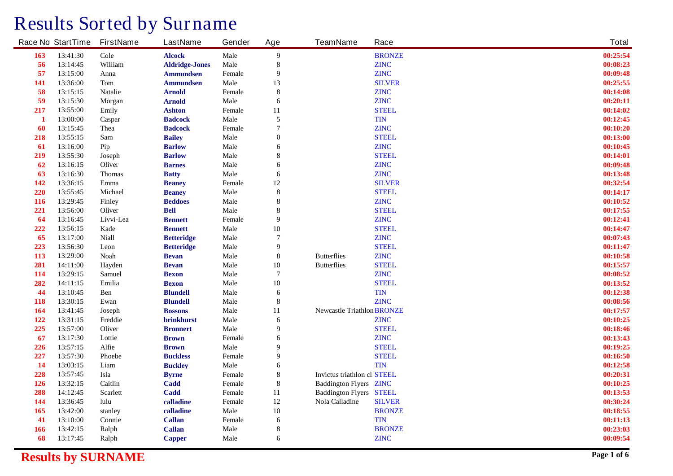## **Results Sorted by Surname**

|            | <b>Race No StartTime</b> | <b>FirstName</b> | <b>LastName</b>       | Gender        | Age              | <b>TeamName</b>                    | Race          | <b>Total</b> |
|------------|--------------------------|------------------|-----------------------|---------------|------------------|------------------------------------|---------------|--------------|
| 163        | 13:41:30                 | <b>Cole</b>      | <b>Alcock</b>         | <b>Male</b>   | $\boldsymbol{9}$ |                                    | <b>BRONZE</b> | 00:25:54     |
| 56         | 13:14:45                 | William          | <b>Aldridge-Jones</b> | <b>Male</b>   | ${\bf 8}$        |                                    | <b>ZINC</b>   | 00:08:23     |
| 57         | 13:15:00                 | Anna             | <b>Ammundsen</b>      | Female        | $\boldsymbol{9}$ |                                    | <b>ZINC</b>   | 00:09:48     |
| <b>141</b> | 13:36:00                 | Tom              | <b>Ammundsen</b>      | <b>Male</b>   | 13               |                                    | <b>SILVER</b> | 00:25:55     |
| 58         | 13:15:15                 | <b>Natalie</b>   | <b>Arnold</b>         | Female        | $\pmb{8}$        |                                    | <b>ZINC</b>   | 00:14:08     |
| 59         | 13:15:30                 | <b>Morgan</b>    | <b>Arnold</b>         | <b>Male</b>   | 6                |                                    | <b>ZINC</b>   | 00:20:11     |
| 217        | 13:55:00                 | Emily            | <b>Ashton</b>         | Female        | 11               |                                    | <b>STEEL</b>  | 00:14:02     |
| 1          | 13:00:00                 | Caspar           | <b>Badcock</b>        | <b>Male</b>   | 5                |                                    | <b>TIN</b>    | 00:12:45     |
| 60         | 13:15:45                 | <b>Thea</b>      | <b>Badcock</b>        | Female        | $\overline{7}$   |                                    | <b>ZINC</b>   | 00:10:20     |
| 218        | 13:55:15                 | <b>Sam</b>       | <b>Bailey</b>         | <b>Male</b>   | $\bf{0}$         |                                    | <b>STEEL</b>  | 00:13:00     |
| 61         | 13:16:00                 | Pip              | <b>Barlow</b>         | <b>Male</b>   | 6                |                                    | <b>ZINC</b>   | 00:10:45     |
| 219        | 13:55:30                 | <b>Joseph</b>    | <b>Barlow</b>         | <b>Male</b>   | $\bf{8}$         |                                    | <b>STEEL</b>  | 00:14:01     |
| 62         | 13:16:15                 | <b>Oliver</b>    | <b>Barnes</b>         | <b>Male</b>   | 6                |                                    | <b>ZINC</b>   | 00:09:48     |
| 63         | 13:16:30                 | <b>Thomas</b>    | <b>Batty</b>          | <b>Male</b>   | 6                |                                    | <b>ZINC</b>   | 00:13:48     |
| 142        | 13:36:15                 | <b>Emma</b>      | <b>Beaney</b>         | Female        | 12               |                                    | <b>SILVER</b> | 00:32:54     |
| 220        | 13:55:45                 | <b>Michael</b>   | <b>Beaney</b>         | <b>Male</b>   | $\pmb{8}$        |                                    | <b>STEEL</b>  | 00:14:17     |
| <b>116</b> | 13:29:45                 | <b>Finley</b>    | <b>Beddoes</b>        | <b>Male</b>   | $\pmb{8}$        |                                    | <b>ZINC</b>   | 00:10:52     |
| 221        | 13:56:00                 | <b>Oliver</b>    | <b>Bell</b>           | <b>Male</b>   | ${\bf 8}$        |                                    | <b>STEEL</b>  | 00:17:55     |
| 64         | 13:16:45                 | Livvi-Lea        | <b>Bennett</b>        | Female        | $\boldsymbol{9}$ |                                    | <b>ZINC</b>   | 00:12:41     |
| 222        | 13:56:15                 | Kade             | <b>Bennett</b>        | <b>Male</b>   | 10               |                                    | <b>STEEL</b>  | 00:14:47     |
| 65         | 13:17:00                 | <b>Niall</b>     | <b>Betteridge</b>     | <b>Male</b>   | $\overline{7}$   |                                    | <b>ZINC</b>   | 00:07:43     |
| 223        | 13:56:30                 | Leon             | <b>Betteridge</b>     | <b>Male</b>   | $\boldsymbol{9}$ |                                    | <b>STEEL</b>  | 00:11:47     |
| 113        | 13:29:00                 | <b>Noah</b>      | <b>Bevan</b>          | <b>Male</b>   | $\pmb{8}$        | <b>Butterflies</b>                 | <b>ZINC</b>   | 00:10:58     |
| 281        | 14:11:00                 | Hayden           | <b>Bevan</b>          | <b>Male</b>   | 10               | <b>Butterflies</b>                 | <b>STEEL</b>  | 00:15:57     |
| 114        | 13:29:15                 | <b>Samuel</b>    | <b>Bexon</b>          | <b>Male</b>   | $\overline{7}$   |                                    | <b>ZINC</b>   | 00:08:52     |
| 282        | 14:11:15                 | Emilia           | <b>Bexon</b>          | <b>Male</b>   | 10               |                                    | <b>STEEL</b>  | 00:13:52     |
| 44         | 13:10:45                 | Ben              | <b>Blundell</b>       | <b>Male</b>   | 6                |                                    | <b>TIN</b>    | 00:12:38     |
| <b>118</b> | 13:30:15                 | Ewan             | <b>Blundell</b>       | <b>Male</b>   | $\pmb{8}$        |                                    | <b>ZINC</b>   | 00:08:56     |
| 164        | 13:41:45                 | <b>Joseph</b>    | <b>Bossons</b>        | <b>Male</b>   | 11               | <b>Newcastle Triathlon BRONZE</b>  |               | 00:17:57     |
| 122        | 13:31:15                 | Freddie          | brinkhurst            | <b>Male</b>   | 6                |                                    | <b>ZINC</b>   | 00:10:25     |
| 225        | 13:57:00                 | <b>Oliver</b>    | <b>Bronnert</b>       | <b>Male</b>   | $\boldsymbol{9}$ |                                    | <b>STEEL</b>  | 00:18:46     |
| 67         | 13:17:30                 | Lottie           | <b>Brown</b>          | <b>Female</b> | 6                |                                    | <b>ZINC</b>   | 00:13:43     |
| 226        | 13:57:15                 | Alfie            | <b>Brown</b>          | <b>Male</b>   | $\boldsymbol{9}$ |                                    | <b>STEEL</b>  | 00:19:25     |
| 227        | 13:57:30                 | <b>Phoebe</b>    | <b>Buckless</b>       | Female        | $\boldsymbol{9}$ |                                    | <b>STEEL</b>  | 00:16:50     |
| 14         | 13:03:15                 | Liam             | <b>Buckley</b>        | <b>Male</b>   | 6                |                                    | <b>TIN</b>    | 00:12:58     |
| 228        | 13:57:45                 | Isla             | <b>Byrne</b>          | Female        | $\pmb{8}$        | <b>Invictus triathlon cl STEEL</b> |               | 00:20:31     |
| 126        | 13:32:15                 | Caitlin          | Cadd                  | Female        | $\pmb{8}$        | <b>Baddington Flyers ZINC</b>      |               | 00:10:25     |
| 288        | 14:12:45                 | <b>Scarlett</b>  | Cadd                  | Female        | 11               | <b>Baddington Flyers STEEL</b>     |               | 00:13:53     |
| 144        | 13:36:45                 | lulu             | calladine             | Female        | 12               | <b>Nola Calladine</b>              | <b>SILVER</b> | 00:30:24     |
| 165        | 13:42:00                 | stanley          | calladine             | <b>Male</b>   | 10               |                                    | <b>BRONZE</b> | 00:18:55     |
| 41         | 13:10:00                 | Connie           | <b>Callan</b>         | Female        | 6                |                                    | <b>TIN</b>    | 00:11:13     |
| <b>166</b> | 13:42:15                 | Ralph            | <b>Callan</b>         | <b>Male</b>   | $\pmb{8}$        |                                    | <b>BRONZE</b> | 00:23:03     |
| 68         | 13:17:45                 | Ralph            | <b>Capper</b>         | <b>Male</b>   | 6                |                                    | <b>ZINC</b>   | 00:09:54     |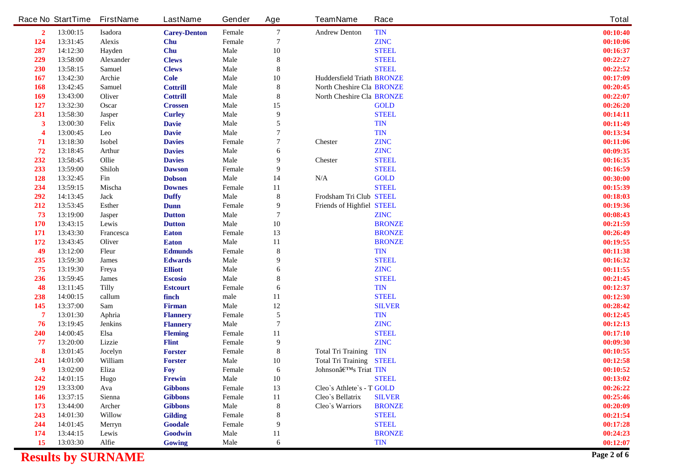|                | <b>Race No StartTime</b> | <b>FirstName</b>   | <b>LastName</b>                 | Gender         | Age              | <b>TeamName</b>                                              | Race          | <b>Total</b>         |
|----------------|--------------------------|--------------------|---------------------------------|----------------|------------------|--------------------------------------------------------------|---------------|----------------------|
| $\overline{2}$ | 13:00:15                 | Isadora            | <b>Carey-Denton</b>             | Female         | $\overline{7}$   | <b>Andrew Denton</b>                                         | <b>TIN</b>    | 00:10:40             |
| 124            | 13:31:45                 | <b>Alexis</b>      | Chu                             | Female         | $\overline{7}$   |                                                              | <b>ZINC</b>   | 00:10:06             |
| 287            | 14:12:30                 | Hayden             | Chu                             | <b>Male</b>    | 10               |                                                              | <b>STEEL</b>  | 00:16:37             |
| 229            | 13:58:00                 | <b>Alexander</b>   | <b>Clews</b>                    | <b>Male</b>    | ${\bf 8}$        |                                                              | <b>STEEL</b>  | 00:22:27             |
| 230            | 13:58:15                 | <b>Samuel</b>      | <b>Clews</b>                    | <b>Male</b>    | 8                |                                                              | <b>STEEL</b>  | 00:22:52             |
| <b>167</b>     | 13:42:30                 | Archie             | <b>Cole</b>                     | <b>Male</b>    | 10               | <b>Huddersfield Triath BRONZE</b>                            |               | 00:17:09             |
| 168            | 13:42:45                 | <b>Samuel</b>      | <b>Cottrill</b>                 | Male           | $\bf{8}$         | <b>North Cheshire Cla BRONZE</b>                             |               | 00:20:45             |
| 169            | 13:43:00                 | <b>Oliver</b>      | <b>Cottrill</b>                 | <b>Male</b>    | ${\bf 8}$        | <b>North Cheshire Cla BRONZE</b>                             |               | 00:22:07             |
| 127            | 13:32:30                 | Oscar              | <b>Crossen</b>                  | <b>Male</b>    | 15               |                                                              | <b>GOLD</b>   | 00:26:20             |
| 231            | 13:58:30                 | <b>Jasper</b>      | <b>Curley</b>                   | <b>Male</b>    | 9                |                                                              | <b>STEEL</b>  | 00:14:11             |
| 3              | 13:00:30                 | <b>Felix</b>       | <b>Davie</b>                    | <b>Male</b>    | 5                |                                                              | <b>TIN</b>    | 00:11:49             |
|                | 13:00:45                 | Leo                | <b>Davie</b>                    | <b>Male</b>    | 7                |                                                              | <b>TIN</b>    | 00:13:34             |
| 71             | 13:18:30                 | <b>Isobel</b>      | <b>Davies</b>                   | Female         | 7                | <b>Chester</b>                                               | <b>ZINC</b>   | 00:11:06             |
| 72             | 13:18:45                 | Arthur             | <b>Davies</b>                   | <b>Male</b>    | 6                |                                                              | <b>ZINC</b>   | 00:09:35             |
| 232            | 13:58:45                 | Ollie              | <b>Davies</b>                   | <b>Male</b>    | 9                | <b>Chester</b>                                               | <b>STEEL</b>  | 00:16:35             |
| 233            | 13:59:00                 | Shiloh             | <b>Dawson</b>                   | Female         | 9                |                                                              | <b>STEEL</b>  | 00:16:59             |
| 128            | 13:32:45                 | Fin                | <b>Dobson</b>                   | <b>Male</b>    | 14               | N/A                                                          | <b>GOLD</b>   | 00:30:00             |
| 234            | 13:59:15                 | Mischa             | <b>Downes</b>                   | Female         | 11               |                                                              | <b>STEEL</b>  | 00:15:39             |
| 292            | 14:13:45                 | <b>Jack</b>        | <b>Duffy</b>                    | Male           | ${\bf 8}$        | Frodsham Tri Club STEEL                                      |               | 00:18:03             |
| 212            | 13:53:45                 | <b>Esther</b>      | Dunn                            | Female         | 9                | <b>Friends of Highfiel STEEL</b>                             |               | 00:19:36             |
| 73             | 13:19:00                 | <b>Jasper</b>      | <b>Dutton</b>                   | <b>Male</b>    | $\overline{7}$   |                                                              | <b>ZINC</b>   | 00:08:43             |
| 170            | 13:43:15                 | Lewis              | <b>Dutton</b>                   | Male           | 10               |                                                              | <b>BRONZE</b> | 00:21:59             |
| 171            | 13:43:30                 | Francesca          | <b>Eaton</b>                    | Female         | 13               |                                                              | <b>BRONZE</b> | 00:26:49             |
| 172            | 13:43:45                 | Oliver             | <b>Eaton</b>                    | <b>Male</b>    | 11               |                                                              | <b>BRONZE</b> | 00:19:55             |
| 49             | 13:12:00                 | Fleur              | <b>Edmunds</b>                  | Female         | ${\bf 8}$        |                                                              | <b>TIN</b>    | 00:11:38             |
| 235            | 13:59:30                 | <b>James</b>       | <b>Edwards</b>                  | <b>Male</b>    | 9                |                                                              | <b>STEEL</b>  | 00:16:32             |
| 75             | 13:19:30                 | Freya              | <b>Elliott</b>                  | <b>Male</b>    | 6                |                                                              | <b>ZINC</b>   | 00:11:55             |
| 236            | 13:59:45                 | <b>James</b>       | <b>Escosio</b>                  | <b>Male</b>    | 8                |                                                              | <b>STEEL</b>  | 00:21:45             |
| 48             | 13:11:45                 | <b>Tilly</b>       | <b>Estcourt</b>                 | Female         | 6                |                                                              | <b>TIN</b>    | 00:12:37             |
| 238            | 14:00:15                 | callum             | finch                           | $_{\rm male}$  | 11               |                                                              | <b>STEEL</b>  | 00:12:30             |
| 145            | 13:37:00                 | Sam                | <b>Firman</b>                   | <b>Male</b>    | $12\,$           |                                                              | <b>SILVER</b> | 00:28:42             |
| 7              | 13:01:30                 | Aphria             | <b>Flannery</b>                 | Female         | 5                |                                                              | <b>TIN</b>    | 00:12:45             |
| 76             | 13:19:45                 | <b>Jenkins</b>     | <b>Flannery</b>                 | <b>Male</b>    | $\overline{7}$   |                                                              | <b>ZINC</b>   | 00:12:13             |
| 240            | 14:00:45                 | Elsa               | <b>Fleming</b>                  | Female         | 11               |                                                              | <b>STEEL</b>  | 00:17:10             |
| 77<br>8        | 13:20:00                 | Lizzie             | <b>Flint</b>                    | Female         | $\boldsymbol{9}$ |                                                              | <b>ZINC</b>   | 00:09:30             |
|                | 13:01:45                 | Jocelyn<br>William | <b>Forster</b>                  | Female<br>Male | 8                | <b>Total Tri Training</b><br><b>Total Tri Training STEEL</b> | <b>TIN</b>    | 00:10:55             |
| 241<br>9       | 14:01:00<br>13:02:00     | Eliza              | <b>Forster</b>                  |                | 10               | Johnsonâ <sup>ETM</sup> s Triat TIN                          |               | 00:12:58             |
| 242            | 14:01:15                 | Hugo               | <b>Foy</b>                      | Female<br>Male | 6<br>10          |                                                              | <b>STEEL</b>  | 00:10:52<br>00:13:02 |
| 129            | 13:33:00                 | Ava                | <b>Frewin</b><br><b>Gibbons</b> | Female         | 13               | Cleo's Athlete's - T GOLD                                    |               | 00:26:22             |
| 146            | 13:37:15                 | Sienna             | <b>Gibbons</b>                  | Female         |                  | Cleo's Bellatrix                                             | <b>SILVER</b> | 00:25:46             |
| 173            | 13:44:00                 | Archer             | <b>Gibbons</b>                  | Male           | 11<br>8          | <b>Cleo's Warriors</b>                                       | <b>BRONZE</b> | 00:20:09             |
| 243            | 14:01:30                 | <b>Willow</b>      | <b>Gilding</b>                  | Female         | 8                |                                                              | <b>STEEL</b>  | 00:21:54             |
| 244            | 14:01:45                 | Merryn             | Goodale                         | Female         | 9                |                                                              | <b>STEEL</b>  | 00:17:28             |
| 174            | 13:44:15                 | Lewis              | Goodwin                         | <b>Male</b>    | 11               |                                                              | <b>BRONZE</b> | 00:24:23             |
| 15             | 13:03:30                 | Alfie              | Gowing                          | <b>Male</b>    | 6                |                                                              | <b>TIN</b>    | 00:12:07             |
|                |                          |                    |                                 |                |                  |                                                              |               |                      |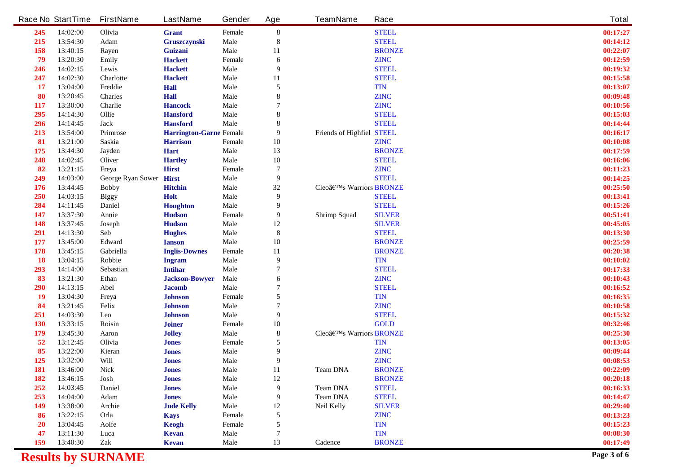| 14:02:00<br>Olivia<br>13:54:30<br>Adam<br>13:40:15<br><b>Rayen</b><br>13:20:30<br><b>Emily</b><br>14:02:15<br>Lewis<br>14:02:30<br><b>Charlotte</b><br>Freddie<br>13:04:00<br><b>Charles</b><br>13:20:45<br>13:30:00<br>Charlie<br>Ollie<br>14:14:30<br><b>Jack</b><br>14:14:45<br>13:54:00<br><b>Primrose</b><br>Saskia<br>13:21:00<br>13:44:30<br><b>Jayden</b><br>14:02:45<br><b>Oliver</b><br>13:21:15<br>Freya | <b>Grant</b><br>Gruszczynski<br>Guizani<br><b>Hackett</b><br><b>Hackett</b><br><b>Hackett</b><br><b>Hall</b><br><b>Hall</b><br><b>Hancock</b><br><b>Hansford</b><br><b>Hansford</b><br><b>Harrington-Garne Female</b><br><b>Harrison</b> | Female<br>Male<br><b>Male</b><br>Female<br><b>Male</b><br>Male<br><b>Male</b><br><b>Male</b><br><b>Male</b><br>Male<br><b>Male</b>                                                  | ${\bf 8}$<br>8<br>11<br>6<br>9<br>11<br>5<br>8<br>8                                   |                                         | <b>STEEL</b><br><b>STEEL</b><br><b>BRONZE</b><br><b>ZINC</b><br><b>STEEL</b><br><b>STEEL</b><br><b>TIN</b><br><b>ZINC</b> | 00:17:27<br>00:14:12<br>00:22:07<br>00:12:59<br>00:19:32<br>00:15:58<br>00:13:07                                                               |
|---------------------------------------------------------------------------------------------------------------------------------------------------------------------------------------------------------------------------------------------------------------------------------------------------------------------------------------------------------------------------------------------------------------------|------------------------------------------------------------------------------------------------------------------------------------------------------------------------------------------------------------------------------------------|-------------------------------------------------------------------------------------------------------------------------------------------------------------------------------------|---------------------------------------------------------------------------------------|-----------------------------------------|---------------------------------------------------------------------------------------------------------------------------|------------------------------------------------------------------------------------------------------------------------------------------------|
|                                                                                                                                                                                                                                                                                                                                                                                                                     |                                                                                                                                                                                                                                          |                                                                                                                                                                                     |                                                                                       |                                         |                                                                                                                           |                                                                                                                                                |
|                                                                                                                                                                                                                                                                                                                                                                                                                     |                                                                                                                                                                                                                                          |                                                                                                                                                                                     |                                                                                       |                                         |                                                                                                                           |                                                                                                                                                |
|                                                                                                                                                                                                                                                                                                                                                                                                                     |                                                                                                                                                                                                                                          |                                                                                                                                                                                     |                                                                                       |                                         |                                                                                                                           |                                                                                                                                                |
|                                                                                                                                                                                                                                                                                                                                                                                                                     |                                                                                                                                                                                                                                          |                                                                                                                                                                                     |                                                                                       |                                         |                                                                                                                           |                                                                                                                                                |
|                                                                                                                                                                                                                                                                                                                                                                                                                     |                                                                                                                                                                                                                                          |                                                                                                                                                                                     |                                                                                       |                                         |                                                                                                                           |                                                                                                                                                |
|                                                                                                                                                                                                                                                                                                                                                                                                                     |                                                                                                                                                                                                                                          |                                                                                                                                                                                     |                                                                                       |                                         |                                                                                                                           |                                                                                                                                                |
|                                                                                                                                                                                                                                                                                                                                                                                                                     |                                                                                                                                                                                                                                          |                                                                                                                                                                                     |                                                                                       |                                         |                                                                                                                           |                                                                                                                                                |
|                                                                                                                                                                                                                                                                                                                                                                                                                     |                                                                                                                                                                                                                                          |                                                                                                                                                                                     |                                                                                       |                                         |                                                                                                                           | 00:09:48                                                                                                                                       |
|                                                                                                                                                                                                                                                                                                                                                                                                                     |                                                                                                                                                                                                                                          |                                                                                                                                                                                     |                                                                                       |                                         | <b>ZINC</b>                                                                                                               | 00:10:56                                                                                                                                       |
|                                                                                                                                                                                                                                                                                                                                                                                                                     |                                                                                                                                                                                                                                          |                                                                                                                                                                                     |                                                                                       |                                         | <b>STEEL</b>                                                                                                              | 00:15:03                                                                                                                                       |
|                                                                                                                                                                                                                                                                                                                                                                                                                     |                                                                                                                                                                                                                                          |                                                                                                                                                                                     | 8                                                                                     |                                         | <b>STEEL</b>                                                                                                              | 00:14:44                                                                                                                                       |
|                                                                                                                                                                                                                                                                                                                                                                                                                     |                                                                                                                                                                                                                                          |                                                                                                                                                                                     | 9                                                                                     | <b>Friends of Highfiel STEEL</b>        |                                                                                                                           | 00:16:17                                                                                                                                       |
|                                                                                                                                                                                                                                                                                                                                                                                                                     |                                                                                                                                                                                                                                          | Female                                                                                                                                                                              | 10                                                                                    |                                         | <b>ZINC</b>                                                                                                               | 00:10:08                                                                                                                                       |
|                                                                                                                                                                                                                                                                                                                                                                                                                     | <b>Hart</b>                                                                                                                                                                                                                              | <b>Male</b>                                                                                                                                                                         | 13                                                                                    |                                         | <b>BRONZE</b>                                                                                                             | 00:17:59                                                                                                                                       |
|                                                                                                                                                                                                                                                                                                                                                                                                                     | <b>Hartley</b>                                                                                                                                                                                                                           | <b>Male</b>                                                                                                                                                                         | ${\bf 10}$                                                                            |                                         | <b>STEEL</b>                                                                                                              | 00:16:06                                                                                                                                       |
|                                                                                                                                                                                                                                                                                                                                                                                                                     | <b>Hirst</b>                                                                                                                                                                                                                             | Female                                                                                                                                                                              | 7                                                                                     |                                         | <b>ZINC</b>                                                                                                               | 00:11:23                                                                                                                                       |
| 14:03:00<br><b>George Ryan Sower Hirst</b>                                                                                                                                                                                                                                                                                                                                                                          |                                                                                                                                                                                                                                          | <b>Male</b>                                                                                                                                                                         | 9                                                                                     |                                         | <b>STEEL</b>                                                                                                              | 00:14:25                                                                                                                                       |
| 13:44:45<br><b>Bobby</b>                                                                                                                                                                                                                                                                                                                                                                                            | <b>Hitchin</b>                                                                                                                                                                                                                           | <b>Male</b>                                                                                                                                                                         | 32                                                                                    | Cleo's Warriors BRONZE                  |                                                                                                                           | 00:25:50                                                                                                                                       |
| 14:03:15<br><b>Biggy</b>                                                                                                                                                                                                                                                                                                                                                                                            | Holt                                                                                                                                                                                                                                     | <b>Male</b>                                                                                                                                                                         | 9                                                                                     |                                         | <b>STEEL</b>                                                                                                              | 00:13:41                                                                                                                                       |
| <b>Daniel</b><br>14:11:45                                                                                                                                                                                                                                                                                                                                                                                           | Houghton                                                                                                                                                                                                                                 | <b>Male</b>                                                                                                                                                                         | 9                                                                                     |                                         | <b>STEEL</b>                                                                                                              | 00:15:26                                                                                                                                       |
| 13:37:30<br>Annie                                                                                                                                                                                                                                                                                                                                                                                                   | <b>Hudson</b>                                                                                                                                                                                                                            | Female                                                                                                                                                                              | 9                                                                                     | <b>Shrimp Squad</b>                     | <b>SILVER</b>                                                                                                             | 00:51:41                                                                                                                                       |
| 13:37:45<br><b>Joseph</b>                                                                                                                                                                                                                                                                                                                                                                                           | <b>Hudson</b>                                                                                                                                                                                                                            | <b>Male</b>                                                                                                                                                                         | 12                                                                                    |                                         | <b>SILVER</b>                                                                                                             | 00:45:05                                                                                                                                       |
| 14:13:30<br><b>Seb</b>                                                                                                                                                                                                                                                                                                                                                                                              |                                                                                                                                                                                                                                          | <b>Male</b>                                                                                                                                                                         |                                                                                       |                                         | <b>STEEL</b>                                                                                                              | 00:13:30                                                                                                                                       |
| 13:45:00<br>Edward                                                                                                                                                                                                                                                                                                                                                                                                  | <b>Ianson</b>                                                                                                                                                                                                                            | <b>Male</b>                                                                                                                                                                         |                                                                                       |                                         | <b>BRONZE</b>                                                                                                             | 00:25:59                                                                                                                                       |
| Gabriella<br>13:45:15                                                                                                                                                                                                                                                                                                                                                                                               | <b>Inglis-Downes</b>                                                                                                                                                                                                                     | Female                                                                                                                                                                              | 11                                                                                    |                                         | <b>BRONZE</b>                                                                                                             | 00:20:38                                                                                                                                       |
| 13:04:15<br><b>Robbie</b>                                                                                                                                                                                                                                                                                                                                                                                           |                                                                                                                                                                                                                                          | <b>Male</b>                                                                                                                                                                         | $\boldsymbol{9}$                                                                      |                                         | <b>TIN</b>                                                                                                                | 00:10:02                                                                                                                                       |
| 14:14:00<br><b>Sebastian</b>                                                                                                                                                                                                                                                                                                                                                                                        | <b>Intihar</b>                                                                                                                                                                                                                           | <b>Male</b>                                                                                                                                                                         | 7                                                                                     |                                         | <b>STEEL</b>                                                                                                              | 00:17:33                                                                                                                                       |
| 13:21:30<br><b>Ethan</b>                                                                                                                                                                                                                                                                                                                                                                                            |                                                                                                                                                                                                                                          |                                                                                                                                                                                     | 6                                                                                     |                                         | <b>ZINC</b>                                                                                                               | 00:10:43                                                                                                                                       |
| 14:13:15<br>Abel                                                                                                                                                                                                                                                                                                                                                                                                    | <b>Jacomb</b>                                                                                                                                                                                                                            | <b>Male</b>                                                                                                                                                                         |                                                                                       |                                         | <b>STEEL</b>                                                                                                              | 00:16:52                                                                                                                                       |
| 13:04:30<br>Freya                                                                                                                                                                                                                                                                                                                                                                                                   | <b>Johnson</b>                                                                                                                                                                                                                           | Female                                                                                                                                                                              | 5                                                                                     |                                         | <b>TIN</b>                                                                                                                | 00:16:35                                                                                                                                       |
| 13:21:45<br><b>Felix</b>                                                                                                                                                                                                                                                                                                                                                                                            | <b>Johnson</b>                                                                                                                                                                                                                           | Male                                                                                                                                                                                | 7                                                                                     |                                         | <b>ZINC</b>                                                                                                               | 00:10:58                                                                                                                                       |
| 14:03:30<br>Leo                                                                                                                                                                                                                                                                                                                                                                                                     |                                                                                                                                                                                                                                          | <b>Male</b>                                                                                                                                                                         | 9                                                                                     |                                         | <b>STEEL</b>                                                                                                              | 00:15:32                                                                                                                                       |
| 13:33:15                                                                                                                                                                                                                                                                                                                                                                                                            |                                                                                                                                                                                                                                          |                                                                                                                                                                                     |                                                                                       |                                         | <b>GOLD</b>                                                                                                               | 00:32:46                                                                                                                                       |
| 13:45:30<br>Aaron                                                                                                                                                                                                                                                                                                                                                                                                   |                                                                                                                                                                                                                                          | <b>Male</b>                                                                                                                                                                         | 8                                                                                     |                                         |                                                                                                                           | 00:25:30                                                                                                                                       |
| 13:12:45<br>Olivia                                                                                                                                                                                                                                                                                                                                                                                                  | <b>Jones</b>                                                                                                                                                                                                                             | Female                                                                                                                                                                              | 5                                                                                     |                                         | <b>TIN</b>                                                                                                                | 00:13:05                                                                                                                                       |
| 13:22:00<br>Kieran                                                                                                                                                                                                                                                                                                                                                                                                  | <b>Jones</b>                                                                                                                                                                                                                             | <b>Male</b>                                                                                                                                                                         | 9                                                                                     |                                         | <b>ZINC</b>                                                                                                               | 00:09:44                                                                                                                                       |
| 13:32:00<br>Will                                                                                                                                                                                                                                                                                                                                                                                                    | <b>Jones</b>                                                                                                                                                                                                                             | <b>Male</b>                                                                                                                                                                         | 9                                                                                     |                                         | <b>ZINC</b>                                                                                                               | 00:08:53                                                                                                                                       |
| 13:46:00<br><b>Nick</b>                                                                                                                                                                                                                                                                                                                                                                                             | <b>Jones</b>                                                                                                                                                                                                                             | <b>Male</b>                                                                                                                                                                         | 11                                                                                    | <b>Team DNA</b>                         | <b>BRONZE</b>                                                                                                             | 00:22:09                                                                                                                                       |
| 13:46:15                                                                                                                                                                                                                                                                                                                                                                                                            |                                                                                                                                                                                                                                          |                                                                                                                                                                                     |                                                                                       |                                         |                                                                                                                           | 00:20:18                                                                                                                                       |
| 14:03:45                                                                                                                                                                                                                                                                                                                                                                                                            | <b>Jones</b>                                                                                                                                                                                                                             |                                                                                                                                                                                     | 9                                                                                     |                                         |                                                                                                                           | 00:16:33                                                                                                                                       |
| 14:04:00                                                                                                                                                                                                                                                                                                                                                                                                            | <b>Jones</b>                                                                                                                                                                                                                             |                                                                                                                                                                                     | 9                                                                                     |                                         |                                                                                                                           | 00:14:47                                                                                                                                       |
| 13:38:00<br>Archie                                                                                                                                                                                                                                                                                                                                                                                                  | <b>Jude Kelly</b>                                                                                                                                                                                                                        | <b>Male</b>                                                                                                                                                                         |                                                                                       | <b>Neil Kelly</b>                       | <b>SILVER</b>                                                                                                             | 00:29:40                                                                                                                                       |
| 13:22:15                                                                                                                                                                                                                                                                                                                                                                                                            |                                                                                                                                                                                                                                          |                                                                                                                                                                                     | 5                                                                                     |                                         |                                                                                                                           | 00:13:23                                                                                                                                       |
| 13:04:45                                                                                                                                                                                                                                                                                                                                                                                                            |                                                                                                                                                                                                                                          | <b>Female</b>                                                                                                                                                                       | 5                                                                                     |                                         |                                                                                                                           | 00:15:23                                                                                                                                       |
| 13:11:30                                                                                                                                                                                                                                                                                                                                                                                                            |                                                                                                                                                                                                                                          |                                                                                                                                                                                     | 7                                                                                     |                                         |                                                                                                                           | 00:08:30                                                                                                                                       |
|                                                                                                                                                                                                                                                                                                                                                                                                                     |                                                                                                                                                                                                                                          |                                                                                                                                                                                     | 13                                                                                    |                                         |                                                                                                                           | 00:17:49                                                                                                                                       |
|                                                                                                                                                                                                                                                                                                                                                                                                                     | Roisin<br>Josh<br><b>Daniel</b><br>Adam<br>Orla<br>Aoife<br>Luca<br>13:40:30<br>Zak                                                                                                                                                      | <b>Hughes</b><br><b>Ingram</b><br><b>Jackson-Bowyer</b><br><b>Johnson</b><br><b>Joiner</b><br><b>Jolley</b><br><b>Jones</b><br><b>Kays</b><br>Keogh<br><b>Kevan</b><br><b>Kevan</b> | Male<br>Female<br><b>Male</b><br><b>Male</b><br>Male<br>Female<br><b>Male</b><br>Male | $\bf 8$<br>${\bf 10}$<br>10<br>12<br>12 | <b>Team DNA</b><br><b>Team DNA</b>                                                                                        | Cleo's Warriors BRONZE<br><b>BRONZE</b><br><b>STEEL</b><br><b>STEEL</b><br><b>ZINC</b><br><b>TIN</b><br><b>TIN</b><br>Cadence<br><b>BRONZE</b> |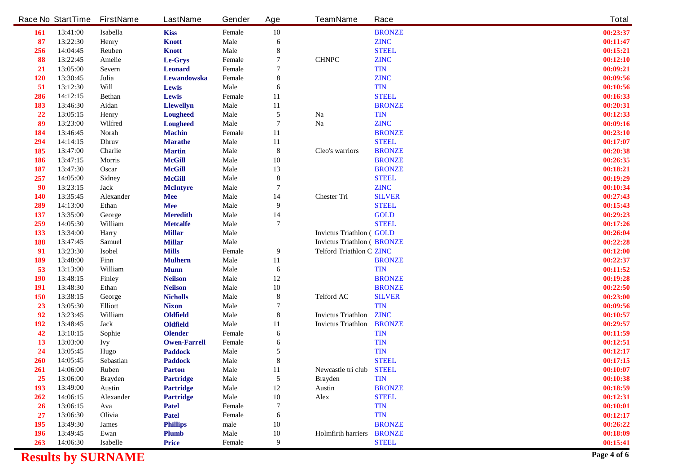|            | <b>Race No StartTime</b> | <b>FirstName</b> | <b>LastName</b>     | Gender      | Age              | <b>TeamName</b>                   | Race          | <b>Total</b> |
|------------|--------------------------|------------------|---------------------|-------------|------------------|-----------------------------------|---------------|--------------|
| <b>161</b> | 13:41:00                 | <b>Isabella</b>  | <b>Kiss</b>         | Female      | ${\bf 10}$       |                                   | <b>BRONZE</b> | 00:23:37     |
| 87         | 13:22:30                 | <b>Henry</b>     | <b>Knott</b>        | Male        | 6                |                                   | <b>ZINC</b>   | 00:11:47     |
| 256        | 14:04:45                 | <b>Reuben</b>    | <b>Knott</b>        | Male        | 8                |                                   | <b>STEEL</b>  | 00:15:21     |
| 88         | 13:22:45                 | Amelie           | Le-Grys             | Female      | 7                | <b>CHNPC</b>                      | <b>ZINC</b>   | 00:12:10     |
| 21         | 13:05:00                 | <b>Sevem</b>     | <b>Leonard</b>      | Female      | 7                |                                   | <b>TIN</b>    | 00:09:21     |
| 120        | 13:30:45                 | Julia            | Lewandowska         | Female      | 8                |                                   | <b>ZINC</b>   | 00:09:56     |
| 51         | 13:12:30                 | Will             | Lewis               | <b>Male</b> | 6                |                                   | <b>TIN</b>    | 00:10:56     |
| 286        | 14:12:15                 | <b>Bethan</b>    | Lewis               | Female      | 11               |                                   | <b>STEEL</b>  | 00:16:33     |
| 183        | 13:46:30                 | Aidan            | <b>Llewellyn</b>    | Male        | 11               |                                   | <b>BRONZE</b> | 00:20:31     |
| 22         | 13:05:15                 | <b>Henry</b>     | <b>Lougheed</b>     | <b>Male</b> | $\sqrt{5}$       | <b>Na</b>                         | <b>TIN</b>    | 00:12:33     |
| 89         | 13:23:00                 | Wilfred          | <b>Lougheed</b>     | <b>Male</b> | $\overline{7}$   | Na                                | <b>ZINC</b>   | 00:09:16     |
| 184        | 13:46:45                 | <b>Norah</b>     | <b>Machin</b>       | Female      | 11               |                                   | <b>BRONZE</b> | 00:23:10     |
| 294        | 14:14:15                 | <b>Dhruv</b>     | <b>Marathe</b>      | <b>Male</b> | 11               |                                   | <b>STEEL</b>  | 00:17:07     |
| 185        | 13:47:00                 | Charlie          | <b>Martin</b>       | Male        | $\bf{8}$         | Cleo's warriors                   | <b>BRONZE</b> | 00:20:38     |
| 186        | 13:47:15                 | Morris           | <b>McGill</b>       | <b>Male</b> | 10               |                                   | <b>BRONZE</b> | 00:26:35     |
| 187        | 13:47:30                 | Oscar            | <b>McGill</b>       | Male        | 13               |                                   | <b>BRONZE</b> | 00:18:21     |
| 257        | 14:05:00                 | <b>Sidney</b>    | <b>McGill</b>       | Male        | $\bf{8}$         |                                   | <b>STEEL</b>  | 00:19:29     |
| 90         | 13:23:15                 | <b>Jack</b>      | <b>McIntyre</b>     | Male        | 7                |                                   | <b>ZINC</b>   | 00:10:34     |
| 140        | 13:35:45                 | <b>Alexander</b> | <b>Mee</b>          | Male        | 14               | <b>Chester Tri</b>                | <b>SILVER</b> | 00:27:43     |
| 289        | 14:13:00                 | <b>Ethan</b>     | Mee                 | <b>Male</b> | $\boldsymbol{9}$ |                                   | <b>STEEL</b>  | 00:15:43     |
| 137        | 13:35:00                 | George           | <b>Meredith</b>     | <b>Male</b> | 14               |                                   | <b>GOLD</b>   | 00:29:23     |
| 259        | 14:05:30                 | William          | <b>Metcalfe</b>     | <b>Male</b> | $\overline{7}$   |                                   | <b>STEEL</b>  | 00:17:26     |
| 133        | 13:34:00                 | <b>Harry</b>     | <b>Millar</b>       | <b>Male</b> |                  | <b>Invictus Triathlon (GOLD</b>   |               | 00:26:04     |
| 188        | 13:47:45                 | <b>Samuel</b>    | <b>Millar</b>       | Male        |                  | <b>Invictus Triathlon (BRONZE</b> |               | 00:22:28     |
| 91         | 13:23:30                 | <b>Isobel</b>    | <b>Mills</b>        | Female      | 9                | <b>Telford Triathlon C ZINC</b>   |               | 00:12:00     |
| 189        | 13:48:00                 | Finn             | <b>Mulhern</b>      | <b>Male</b> | 11               |                                   | <b>BRONZE</b> | 00:22:37     |
| 53         | 13:13:00                 | William          | <b>Munn</b>         | <b>Male</b> | $\boldsymbol{6}$ |                                   | <b>TIN</b>    | 00:11:52     |
| <b>190</b> | 13:48:15                 | <b>Finley</b>    | <b>Neilson</b>      | <b>Male</b> | 12               |                                   | <b>BRONZE</b> | 00:19:28     |
| 191        | 13:48:30                 | <b>Ethan</b>     | <b>Neilson</b>      | <b>Male</b> | 10               |                                   | <b>BRONZE</b> | 00:22:50     |
| 150        | 13:38:15                 | George           | <b>Nicholls</b>     | <b>Male</b> | $\pmb{8}$        | <b>Telford AC</b>                 | <b>SILVER</b> | 00:23:00     |
| 23         | 13:05:30                 | Elliott          | <b>Nixon</b>        | Male        | 7                |                                   | <b>TIN</b>    | 00:09:56     |
| 92         | 13:23:45                 | William          | Oldfield            | <b>Male</b> | 8                | <b>Invictus Triathlon</b>         | <b>ZINC</b>   | 00:10:57     |
| 192        | 13:48:45                 | <b>Jack</b>      | Oldfield            | <b>Male</b> | 11               | <b>Invictus Triathlon</b>         | <b>BRONZE</b> | 00:29:57     |
| 42         | 13:10:15                 | Sophie           | <b>Olender</b>      | Female      | 6                |                                   | <b>TIN</b>    | 00:11:59     |
| 13         | 13:03:00                 | <b>Ivy</b>       | <b>Owen-Farrell</b> | Female      | 6                |                                   | <b>TIN</b>    | 00:12:51     |
| 24         | 13:05:45                 | Hugo             | <b>Paddock</b>      | <b>Male</b> | 5                |                                   | <b>TIN</b>    | 00:12:17     |
| 260        | 14:05:45                 | <b>Sebastian</b> | <b>Paddock</b>      | <b>Male</b> | 8                |                                   | <b>STEEL</b>  | 00:17:15     |
| 261        | 14:06:00                 | <b>Ruben</b>     | <b>Parton</b>       | <b>Male</b> | 11               | Newcastle tri club STEEL          |               | 00:10:07     |
| 25         | 13:06:00                 | <b>Brayden</b>   | <b>Partridge</b>    | <b>Male</b> | $\sqrt{5}$       | <b>Brayden</b>                    | <b>TIN</b>    | 00:10:38     |
| 193        | 13:49:00                 | <b>Austin</b>    | <b>Partridge</b>    | Male        | 12               | Austin                            | <b>BRONZE</b> | 00:18:59     |
| 262        | 14:06:15                 | <b>Alexander</b> | <b>Partridge</b>    | <b>Male</b> | ${\bf 10}$       | <b>Alex</b>                       | <b>STEEL</b>  | 00:12:31     |
| <b>26</b>  | 13:06:15                 | Ava              | <b>Patel</b>        | Female      | 7                |                                   | <b>TIN</b>    | 00:10:01     |
| 27         | 13:06:30                 | Olivia           | <b>Patel</b>        | Female      | 6                |                                   | <b>TIN</b>    | 00:12:17     |
| 195        | 13:49:30                 | <b>James</b>     | <b>Phillips</b>     | male        | 10               |                                   | <b>BRONZE</b> | 00:26:22     |
| 196        | 13:49:45                 | Ewan             | <b>Plumb</b>        | Male        | 10               | <b>Holmfirth harriers</b>         | <b>BRONZE</b> | 00:18:09     |
| 263        | 14:06:30                 | <b>Isabelle</b>  | <b>Price</b>        | Female      | 9                |                                   | <b>STEEL</b>  | 00:15:41     |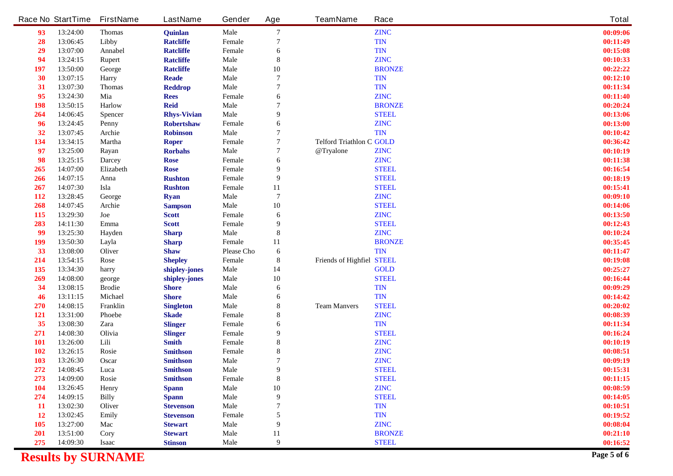|                   | <b>Race No StartTime</b> | <b>FirstName</b>             | <b>LastName</b>                    | Gender                | Age            | <b>TeamName</b>                  | Race                       | <b>Total</b>         |
|-------------------|--------------------------|------------------------------|------------------------------------|-----------------------|----------------|----------------------------------|----------------------------|----------------------|
| 93                | 13:24:00                 | <b>Thomas</b>                | Quinlan                            | <b>Male</b>           | 7              |                                  | <b>ZINC</b>                | 00:09:06             |
| 28                | 13:06:45                 | Libby                        | <b>Ratcliffe</b>                   | Female                | 7              |                                  | <b>TIN</b>                 | 00:11:49             |
| 29                | 13:07:00                 | <b>Annabel</b>               | <b>Ratcliffe</b>                   | Female                | 6              |                                  | <b>TIN</b>                 | 00:15:08             |
| 94                | 13:24:15                 | <b>Rupert</b>                | <b>Ratcliffe</b>                   | <b>Male</b>           | 8              |                                  | <b>ZINC</b>                | 00:10:33             |
| 197               | 13:50:00                 | George                       | <b>Ratcliffe</b>                   | <b>Male</b>           | 10             |                                  | <b>BRONZE</b>              | 00:22:22             |
| 30                | 13:07:15                 | Harry                        | <b>Reade</b>                       | <b>Male</b>           | 7              |                                  | <b>TIN</b>                 | 00:12:10             |
| 31                | 13:07:30                 | <b>Thomas</b>                | <b>Reddrop</b>                     | Male                  | 7              |                                  | <b>TIN</b>                 | 00:11:34             |
| 95                | 13:24:30                 | Mia                          | <b>Rees</b>                        | Female                | 6              |                                  | <b>ZINC</b>                | 00:11:40             |
| <b>198</b>        | 13:50:15                 | Harlow                       | <b>Reid</b>                        | <b>Male</b>           | 7              |                                  | <b>BRONZE</b>              | 00:20:24             |
| 264               | 14:06:45                 | <b>Spencer</b>               | <b>Rhys-Vivian</b>                 | <b>Male</b>           | 9              |                                  | <b>STEEL</b>               | 00:13:06             |
| 96                | 13:24:45                 | <b>Penny</b>                 | <b>Robertshaw</b>                  | Female                | 6              |                                  | <b>ZINC</b>                | 00:13:00             |
| 32                | 13:07:45                 | Archie                       | <b>Robinson</b>                    | <b>Male</b>           | 7              |                                  | <b>TIN</b>                 | 00:10:42             |
| 134               | 13:34:15                 | <b>Martha</b>                | <b>Roper</b>                       | Female                | 7              | <b>Telford Triathlon C GOLD</b>  |                            | 00:36:42             |
| 97                | 13:25:00                 | Rayan                        | <b>Rorbahs</b>                     | <b>Male</b>           | 7              | @Tryalone                        | <b>ZINC</b>                | 00:10:19             |
| 98                | 13:25:15                 | <b>Darcey</b>                | <b>Rose</b>                        | Female                | 6              |                                  | <b>ZINC</b>                | 00:11:38             |
| 265               | 14:07:00                 | <b>Elizabeth</b>             | <b>Rose</b>                        | Female                | 9              |                                  | <b>STEEL</b>               | 00:16:54             |
| 266               | 14:07:15                 | Anna                         | <b>Rushton</b>                     | Female                | 9              |                                  | <b>STEEL</b>               | 00:18:19             |
| 267               | 14:07:30                 | Isla                         | <b>Rushton</b>                     | Female                | 11             |                                  | <b>STEEL</b>               | 00:15:41             |
| <b>112</b>        | 13:28:45                 | George                       | <b>Ryan</b>                        | <b>Male</b>           | $\overline{7}$ |                                  | <b>ZINC</b>                | 00:09:10             |
| 268               | 14:07:45                 | Archie                       | <b>Sampson</b>                     | <b>Male</b>           | 10             |                                  | <b>STEEL</b>               | 00:14:06             |
| 115               | 13:29:30                 | Joe                          | <b>Scott</b>                       | Female                | 6              |                                  | <b>ZINC</b>                | 00:13:50             |
| 283               | 14:11:30                 | Emma                         | <b>Scott</b>                       | Female                | 9              |                                  | <b>STEEL</b>               | 00:12:43             |
| 99                | 13:25:30                 | Hayden                       | <b>Sharp</b>                       | <b>Male</b>           | 8              |                                  | <b>ZINC</b>                | 00:10:24             |
| 199               | 13:50:30                 | Layla                        | <b>Sharp</b>                       | Female                | 11             |                                  | <b>BRONZE</b>              | 00:35:45             |
| 33                | 13:08:00                 | <b>Oliver</b>                | <b>Shaw</b>                        | <b>Please Cho</b>     | 6              |                                  | <b>TIN</b>                 | 00:11:47             |
| 214               | 13:54:15                 | Rose                         | <b>Shepley</b>                     | Female                | 8              | <b>Friends of Highfiel STEEL</b> |                            | 00:19:08             |
| 135               | 13:34:30                 | harry                        | shipley-jones                      | <b>Male</b>           | 14             |                                  | <b>GOLD</b>                | 00:25:27             |
| 269               | 14:08:00                 | george                       | shipley-jones                      | <b>Male</b>           | 10             |                                  | <b>STEEL</b>               | 00:16:44             |
| 34                | 13:08:15                 | <b>Brodie</b>                | <b>Shore</b>                       | <b>Male</b>           | 6              |                                  | <b>TIN</b>                 | 00:09:29             |
| 46                | 13:11:15                 | <b>Michael</b>               | <b>Shore</b>                       | <b>Male</b>           | 6              |                                  | <b>TIN</b>                 | 00:14:42             |
| 270               | 14:08:15                 | Franklin                     | <b>Singleton</b>                   | <b>Male</b>           | 8              | <b>Team Manvers</b>              | <b>STEEL</b>               | 00:20:02             |
| <b>121</b>        | 13:31:00                 | <b>Phoebe</b>                | <b>Skade</b>                       | Female                | 8              |                                  | <b>ZINC</b>                | 00:08:39             |
| 35                | 13:08:30                 | Zara                         | <b>Slinger</b>                     | Female                | 6              |                                  | <b>TIN</b>                 | 00:11:34             |
| 271               | 14:08:30                 | Olivia                       | <b>Slinger</b>                     | Female                | 9              |                                  | <b>STEEL</b>               | 00:16:24             |
| <b>101</b>        | 13:26:00                 | Lili                         | <b>Smith</b>                       | Female                | 8              |                                  | <b>ZINC</b>                | 00:10:19<br>00:08:51 |
| <b>102</b><br>103 | 13:26:15<br>13:26:30     | Rosie<br><b>Oscar</b>        | <b>Smithson</b><br><b>Smithson</b> | Female<br><b>Male</b> | 8<br>7         |                                  | <b>ZINC</b><br><b>ZINC</b> | 00:09:19             |
| 272               | 14:08:45                 | Luca                         | <b>Smithson</b>                    | <b>Male</b>           | 9              |                                  | <b>STEEL</b>               | 00:15:31             |
| 273               | 14:09:00                 | Rosie                        | <b>Smithson</b>                    | Female                | ${\bf 8}$      |                                  | <b>STEEL</b>               | 00:11:15             |
| 104               | 13:26:45                 |                              |                                    | <b>Male</b>           |                |                                  | <b>ZINC</b>                | 00:08:59             |
| 274               | 14:09:15                 | <b>Henry</b><br><b>Billy</b> | <b>Spann</b><br><b>Spann</b>       | <b>Male</b>           | 10<br>9        |                                  | <b>STEEL</b>               | 00:14:05             |
| <b>11</b>         | 13:02:30                 | <b>Oliver</b>                | <b>Stevenson</b>                   | Male                  | 7              |                                  | <b>TIN</b>                 | 00:10:51             |
| <b>12</b>         | 13:02:45                 | <b>Emily</b>                 | <b>Stevenson</b>                   | Female                | 5              |                                  | <b>TIN</b>                 | 00:19:52             |
| <b>105</b>        | 13:27:00                 | Mac                          | <b>Stewart</b>                     | <b>Male</b>           | 9              |                                  | <b>ZINC</b>                | 00:08:04             |
| <b>201</b>        | 13:51:00                 | Cory                         | <b>Stewart</b>                     | <b>Male</b>           | 11             |                                  | <b>BRONZE</b>              | 00:21:10             |
| 275               | 14:09:30                 | <b>Isaac</b>                 | <b>Stinson</b>                     | <b>Male</b>           | 9              |                                  | <b>STEEL</b>               | 00:16:52             |
|                   |                          |                              |                                    |                       |                |                                  |                            |                      |